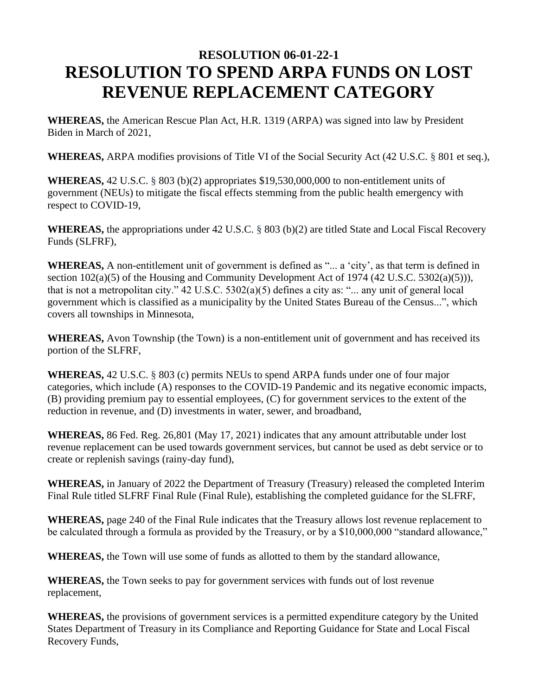## **RESOLUTION 06-01-22-1 RESOLUTION TO SPEND ARPA FUNDS ON LOST REVENUE REPLACEMENT CATEGORY**

**WHEREAS,** the American Rescue Plan Act, H.R. 1319 (ARPA) was signed into law by President Biden in March of 2021,

**WHEREAS,** ARPA modifies provisions of Title VI of the Social Security Act (42 U.S.C. § 801 et seq.),

**WHEREAS,** 42 U.S.C. § 803 (b)(2) appropriates \$19,530,000,000 to non-entitlement units of government (NEUs) to mitigate the fiscal effects stemming from the public health emergency with respect to COVID-19,

**WHEREAS,** the appropriations under 42 U.S.C. § 803 (b)(2) are titled State and Local Fiscal Recovery Funds (SLFRF),

**WHEREAS,** A non-entitlement unit of government is defined as "... a 'city', as that term is defined in section 102(a)(5) of the Housing and Community Development Act of 1974 (42 U.S.C. 5302(a)(5))), that is not a metropolitan city." 42 U.S.C. 5302(a)(5) defines a city as: "... any unit of general local government which is classified as a municipality by the United States Bureau of the Census...", which covers all townships in Minnesota,

**WHEREAS,** Avon Township (the Town) is a non-entitlement unit of government and has received its portion of the SLFRF,

**WHEREAS,** 42 U.S.C. § 803 (c) permits NEUs to spend ARPA funds under one of four major categories, which include (A) responses to the COVID-19 Pandemic and its negative economic impacts, (B) providing premium pay to essential employees, (C) for government services to the extent of the reduction in revenue, and (D) investments in water, sewer, and broadband,

**WHEREAS,** 86 Fed. Reg. 26,801 (May 17, 2021) indicates that any amount attributable under lost revenue replacement can be used towards government services, but cannot be used as debt service or to create or replenish savings (rainy-day fund),

**WHEREAS,** in January of 2022 the Department of Treasury (Treasury) released the completed Interim Final Rule titled SLFRF Final Rule (Final Rule), establishing the completed guidance for the SLFRF,

**WHEREAS,** page 240 of the Final Rule indicates that the Treasury allows lost revenue replacement to be calculated through a formula as provided by the Treasury, or by a \$10,000,000 "standard allowance,"

**WHEREAS,** the Town will use some of funds as allotted to them by the standard allowance,

**WHEREAS,** the Town seeks to pay for government services with funds out of lost revenue replacement,

**WHEREAS,** the provisions of government services is a permitted expenditure category by the United States Department of Treasury in its Compliance and Reporting Guidance for State and Local Fiscal Recovery Funds,